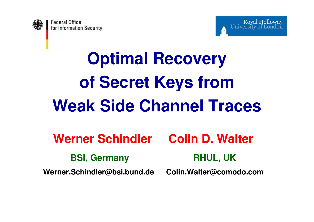



# **Optimal Recovery of Secret Keys from Weak Side Channel Traces**

**Werner Schindler Colin D. Walter**

**BSI, Germany RHUL, UK**

**Werner.Schindler@bsi.bund.de Colin.Walter@comodo.com**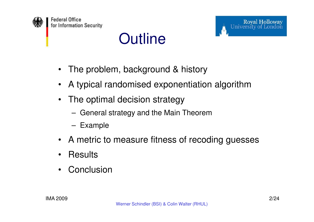



#### **Outline**

- •The problem, background & history
- •A typical randomised exponentiation algorithm
- • The optimal decision strategy
	- $-$  General strategy and the Main Theorem
	- Example
- •A metric to measure fitness of recoding guesses
- •**Results**
- •**Conclusion**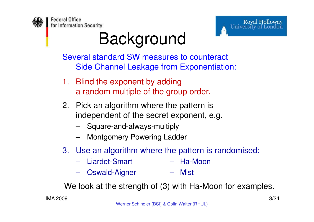



## Background

 Several standard SW measures to counteract Side Channel Leakage from Exponentiation:

- 1. Blind the exponent by adding a random multiple of the group order.
- 2. Pick an algorithm where the pattern is independent of the secret exponent, e.g.
	- Square-and-always-multiply
	- Montgomery Powering Ladder
- 3. Use an algorithm where the pattern is randomised:
	- Liardet-Smart Ha-Moon
	- Oswald-Aigner Mist

We look at the strength of (3) with Ha-Moon for examples.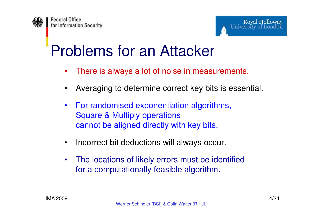

### Problems for an Attacker

- •There is always a lot of noise in measurements.
- •Averaging to determine correct key bits is essential.
- $\bullet$  For randomised exponentiation algorithms, Square & Multiply operations cannot be aligned directly with key bits.
- $\bullet$ Incorrect bit deductions will always occur.
- • The locations of likely errors must be identified for a computationally feasible algorithm.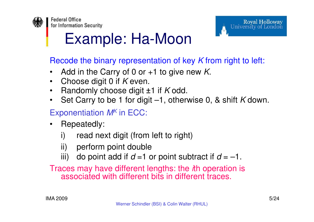

### Example: Ha-Moon

Recode the binary representation of key  $K$  from right to left:

- •Add in the Carry of 0 or  $+1$  to give new K.
- •Choose digit 0 if *K* even.
- •Randomly choose digit ±1 if K odd.
- $\bullet$ Set Carry to be 1 for digit -1, otherwise 0, & shift K down.

#### Exponentiation  $\mathcal{M}^{\mathcal{K}}$  in ECC:

- • Repeatedly:
	- i) read next digit (from left to right)
	- ii) perform point double
	- iii) do point add if  $d = 1$  or point subtract if  $d = -1$ .

Traces may have different lengths: the *i*th operation is associated with different bits in different traces.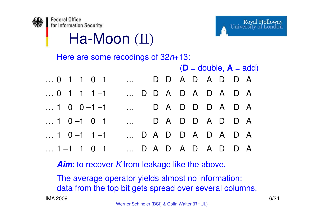



Ha-Moon (II)

Here are some recodings of  $32n+13$ :

|                     |                   | $(D = double, A = add)$ |  |  |
|---------------------|-------------------|-------------------------|--|--|
| 0 1 1 0 1           | DDADADDA          |                         |  |  |
| $\dots$ 0 1 1 1 -1  | D D A D A D A D A |                         |  |  |
| $\dots$ 1 0 0 -1 -1 | DADDDADA          |                         |  |  |
| $\dots$ 1 0 -1 0 1  | DADDADDA          |                         |  |  |
| $\dots$ 1 0 -1 1 -1 | DADDADADA         |                         |  |  |
| $\dots$ 1 -1 1 0 1  | DADADADDA         |                         |  |  |

**Aim**: to recover K from leakage like the above.

The average operator yields almost no information: data from the top bit gets spread over several columns.

IMA 2009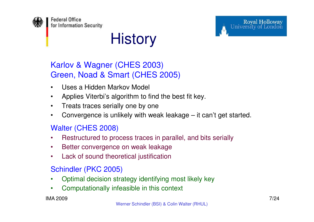

#### **History**

#### Karlov & Wagner (CHES 2003)Green, Noad & Smart (CHES 2005)

- •Uses a Hidden Markov Model
- $\bullet$ Applies Viterbi's algorithm to find the best fit key.
- •Treats traces serially one by one
- Convergence is unlikely with weak leakage it can't get started. •

#### Walter (CHES 2008)

- $\bullet$ Restructured to process traces in parallel, and bits serially
- •Better convergence on weak leakage
- Lack of sound theoretical justification•

#### Schindler (PKC 2005)

- •Optimal decision strategy identifying most likely key
- •Computationally infeasible in this context

#### IMA 2009

Royal Holloway<br>University of London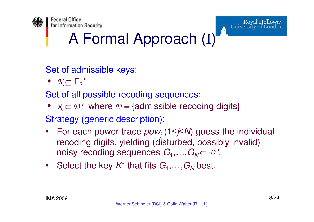

### A Formal Approach (I)

Set of admissible keys:

*• K*⊆F2\*

Set of all possible recoding sequences:

•  $\mathcal{R}$ ⊆  $\mathcal{D}$ <sup>\*</sup> where  $\mathcal{D}$  = {admissible recoding digits}

Strategy (generic description):

- •For each power trace  $pow_j$  (1≤j≤N) guess the individual recoding digits, yielding (disturbed, possibly invalid) noisy recoding sequences  $G_1,...,G_N \subseteq \mathcal{D}^*$ .
- Select the key  $\mathcal{K}^*$  that fits  $G_1, \ldots, G_N$  $\zeta_N$ best.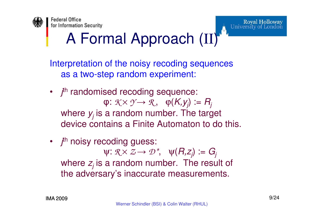

### A Formal Approach (II)

Interpretation of the noisy recoding sequences as a two-step random experiment:

- *j*<sup>th</sup> randomised recoding sequence:  $\varphi\colon\mathcal{K}\times\mathcal{Y}\,{\rightarrow}\,\mathcal{R},\ \ \, \varphi(K,\mathcal{Y}_j):=R_j$ <br>a random number. The targ where  $y_j$  is a random number. The target device contains a Finite Automaton to do this.
- f<sup>th</sup> noisy recoding guess:  $ψ$ :  $R \times Z \rightarrow D^*$ ,  $ψ(R, z_j)$  :=  $G_j$ <br>a random number. The resu where  $z_j$  is a random number. The result of the adversary's inaccurate measurements.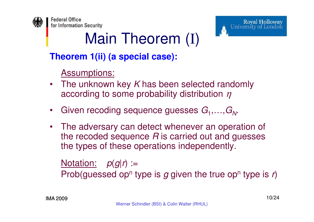

## Main Theorem (I)

#### **Theorem 1(ii) (a special case):**

Assumptions:

- •The unknown key K has been selected randomly according to some probability distribution  $\eta$
- •• Given recoding sequence guesses  $G_1, \ldots, G_N$ .
- $\bullet$  The adversary can detect whenever an operation of the recoded sequence  $R$  is carried out and guesses the types of these eperations independently. the types of these operations independently.

Notation:  $p(g|r) :=$ Prob(guessed opʰ type is  $g$  given the true opʰ type is *r*)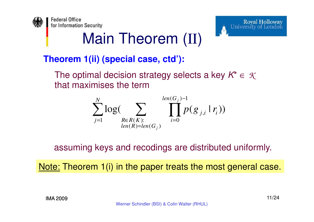

### Main Theorem (II)

#### **Theorem 1(ii) (special case, ctd'):**

The optimal decision strategy selects a key  $\mathcal{K}^* \in~\mathcal{K}$ that maximises the term

$$
\sum_{j=1}^{N} \log \Bigl( \sum_{\substack{R \in R(K): \\ len(R) = len(G_j)}} \prod_{i=0}^{len(G_j)-1} p(g_{j,i} | r_i) \Bigr)
$$

assuming keys and recodings are distributed uniformly.

<u>Note:</u> Theorem 1(i) in the paper treats the most general case.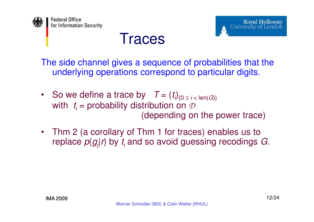



#### **Traces**

The side channel gives a sequence of probabilities that the underlying operations correspond to particular digits.

- So we define a trace by  $T = (t_i)_{\{0 \le i < \text{len}(G)\}}$ with  $t_i$  = probability distribution on  $\mathcal D$ (depending on the power trace)
- Thm 2 (a corollary of Thm 1 for traces) enables us to replace  $\rho(g_{j}|r)$  by  $t_{i}$  and so avoid guessing recodings  $G_{\cdot}$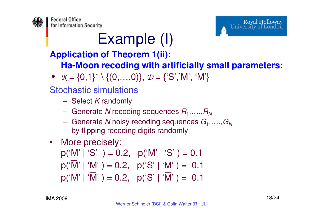



### Example (I)

#### **Application of Theorem 1(ii):**

**Ha-Moon recoding with artificially small parameters:**

•  $\mathcal{K} = \{0,1\}^n \setminus \{(0,\ldots,0)\}, \ \mathcal{D} = \{S',W',\ \overline{W'}\}$ <br> *•* Stochastic simulations<br> *–* Select *K* randomly<br> *–* Generate *N* recoding sequences  $R_1, \ldots, R_n$ 

Stochastic simulations

- Select *K* randomly
- $-$  Generate  $N$  recoding sequences  $R$
- 
- 

- Generate *N* noisy recoding sequences  $G_1$ ,....,  $G_N$ <br>
- Generate *N* noisy recoding sequences  $G_1$ ,....,  $G_N$ <br>
by flipping recoding digits randomly<br>
• More precisely:<br>  $p('M' | 'S'') = 0.2, p('W' | 'S') = 0.1$ <br>  $p('W' | 'W') = 0.2, p$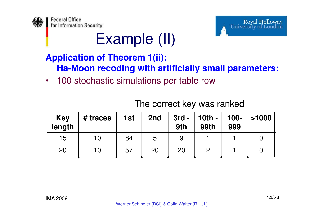



#### Example (II)

#### **Application of Theorem 1(ii): Ha-Moon recoding with artificially small parameters:**

•100 stochastic simulations per table row

| <b>Key</b><br>length | # traces | 1st | 2nd | $3rd -$<br>9th | $\vert$ 10th -<br><b>99th</b> | 100-<br>999 | >1000 |
|----------------------|----------|-----|-----|----------------|-------------------------------|-------------|-------|
| 15                   | 10       | 84  | 5   |                |                               |             |       |
| 20                   | 10       | 57  | 20  | 20             |                               |             |       |

#### The correct key was ranked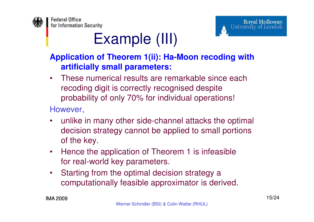



### Example (III)

#### **Application of Theorem 1(ii): Ha-Moon recoding withartificially small parameters:**

• These numerical results are remarkable since each recoding digit is correctly recognised despite probability of only 70% for individual operations!

However,

- • unlike in many other side-channel attacks the optimal decision strategy cannot be applied to small portions of the key.
- • Hence the application of Theorem 1 is infeasible for real-world key parameters.
- • Starting from the optimal decision strategy a computationally feasible approximator is derived.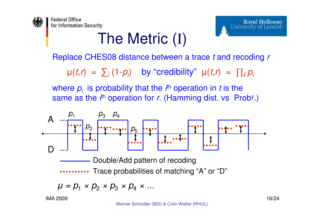

### The Metric (I)



Replace CHES08 distance between a trace  $t$  and recoding  $r$ 

 $\mu(t,r) = \sum_i (1-p_i)$  by "credibility"  $\mu(t,r) = \prod_i p_i$ 

where  $p_i$  is probability that the  $i^{\text{th}}$  operation in t is the same as the  $i^{\text{th}}$  operation for r. (Hamming dist. vs Prob<sup>y</sup>.)



$$
\mu = p_1 \times p_2 \times p_3 \times p_4 \times \dots
$$

IMA 2009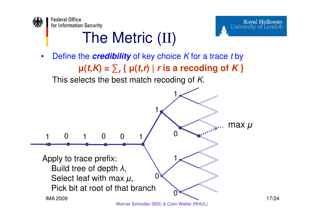

## The Metric (II)



17/24

Royal Holloway<br>University of London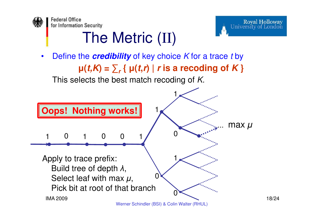

## The Metric (II)

•Define the **credibility** of key choice K for a trace t by  $\mu$ (*t*, $K$ ) =  $\sum$ , {  $\mu$ (*t,r*) | *r* is a recoding of  $K$  }



18/24

Royal Holloway<br>University of London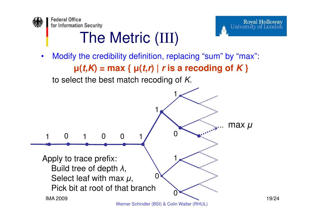



19/24

### The Metric (III)

• Modify the credibility definition, replacing "sum" by "max": **µ(t,K) = max { µ(t,<sup>r</sup>) | <sup>r</sup> is a recoding of K }** to select the best match recoding of K.

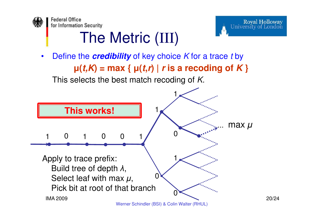



20/24

## The Metric (III)

•Define the **credibility** of key choice K for a trace t by **µ(t,K) = max { µ(t,<sup>r</sup>) | <sup>r</sup> is a recoding of K }** This selects the best match recoding of K.

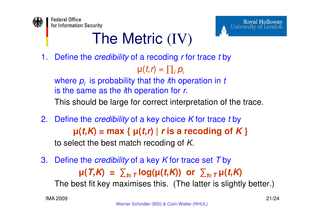

### The Metric (IV)

1. Define the *credibility* of a recoding *r* for trace *t* by

 $\mathsf{p}(t\mathsf{,}\mathsf{r}\mathsf{)}=\prod_{i}\mathsf{p}_{i}$ 

where  $\bm{p}_i$  is probability that the *i*th operation in  $t$ is the same as the  $i$ th operation for  $r$ .

This should be large for correct interpretation of the trace.

- 2. Define the *credibility* of a key choice K for trace *t* by **µ(t,K) = max { µ(t,<sup>r</sup>) | <sup>r</sup> is a recoding of K }** to select the best match recoding of K.
- 3. Define the *credibility* of a key K for trace set T by  $\mu(T,K) = \sum_{t \in T} \log(\mu(t,K))$  or  $\sum_{t \in T} \mu(t,K)$ The best fit key maximises this. (The latter is slightly better.)

**Royal Holloway** 

University of London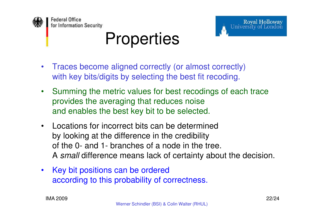

#### Royal Holloway University of London

 $\bullet$  Traces become aligned correctly (or almost correctly) with key bits/digits by selecting the best fit recoding.

**Properties** 

- $\bullet$  Summing the metric values for best recodings of each trace provides the averaging that reduces noise and enables the best key bit to be selected.
- $\bullet$  Locations for incorrect bits can be determined by looking at the difference in the credibility of the 0- and 1- branches of a node in the tree. A small difference means lack of certainty about the decision.
- $\bullet$  Key bit positions can be ordered according to this probability of correctness.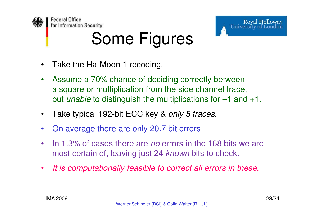

# Some Figures



- $\bullet$  Assume a 70% chance of deciding correctly between a square or multiplication from the side channel trace, but *unable* to distinguish the multiplications for <mark>–1</mark> and +1.
- •• Take typical 192-bit ECC key & only 5 traces.
- •On average there are only 20.7 bit errors
- $\bullet$ In 1.3% of cases there are *no* errors in the 168 bits we are most certain of, leaving just 24 *known* bits to check.
- $\bullet$ It is computationally feasible to correct all errors in these.

Royal Holloway<br>University of London